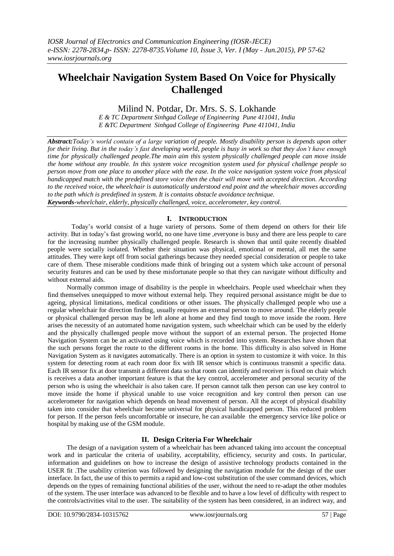# **Wheelchair Navigation System Based On Voice for Physically Challenged**

# Milind N. Potdar, Dr. Mrs. S. S. Lokhande

*E & TC Department Sinhgad College of Engineering Pune 411041, India E &TC Department Sinhgad College of Engineering Pune 411041, India*

*Abstract:Today's world contain of a large variation of people. Mostly disability person is depends upon other for their living. But in the today's fast developing world, people is busy in work so that they don't have enough time for physically challenged people.The main aim this system physically challenged people can move inside the home without any trouble. In this system voice recognition system used for physical challenge people so person move from one place to another place with the ease. In the voice navigation system voice from physical handicapped match with the predefined store voice then the chair will move with accepted direction. According to the received voice, the wheelchair is automatically understood end point and the wheelchair moves according to the path which is predefined in system. It is contains obstacle avoidance technique.*

*Keywords-wheelchair, elderly, physically challenged, voice, accelerometer, key control.*

# **I. INTRODUCTION**

Today"s world consist of a huge variety of persons. Some of them depend on others for their life activity. But in today"s fast growing world, no one have time ,everyone is busy and there are less people to care for the increasing number physically challenged people. Research is shown that until quite recently disabled people were socially isolated. Whether their situation was physical, emotional or mental, all met the same attitudes. They were kept off from social gatherings because they needed special consideration or people to take care of them. These miserable conditions made think of bringing out a system which take account of personal security features and can be used by these misfortunate people so that they can navigate without difficulty and without external aids.

Normally common image of disability is the people in wheelchairs. People used wheelchair when they find themselves unequipped to move without external help. They required personal assistance might be due to ageing, physical limitations, medical conditions or other issues. The physically challenged people who use a regular wheelchair for direction finding, usually requires an external person to move around. The elderly people or physical challenged person may be left alone at home and they find tough to move inside the room. Here arises the necessity of an automated home navigation system, such wheelchair which can be used by the elderly and the physically challenged people move without the support of an external person. The projected Home Navigation System can be an activated using voice which is recorded into system. Researches have shown that the such persons forget the route to the different rooms in the home. This difficulty is also solved in Home Navigation System as it navigates automatically. There is an option in system to customize it with voice. In this system for detecting room at each room door fix with IR sensor which is continuous transmit a specific data. Each IR sensor fix at door transmit a different data so that room can identify and receiver is fixed on chair which is receives a data another important feature is that the key control, accelerometer and personal security of the person who is using the wheelchair is also taken care. If person cannot talk then person can use key control to move inside the home if physical unable to use voice recognition and key control then person can use accelerometer for navigation which depends on head movement of person. All the accept of physical disability taken into consider that wheelchair become universal for physical handicapped person. This reduced problem for person. If the person feels uncomfortable or insecure, he can available the emergency service like police or hospital by making use of the GSM module.

# **II. Design Criteria For Wheelchair**

The design of a navigation system of a wheelchair has been advanced taking into account the conceptual work and in particular the criteria of usability, acceptability, efficiency, security and costs. In particular, information and guidelines on how to increase the design of assistive technology products contained in the USER fit .The usability criterion was followed by designing the navigation module for the design of the user interface. In fact, the use of this to permits a rapid and low-cost substitution of the user command devices, which depends on the types of remaining functional abilities of the user, without the need to re-adapt the other modules of the system. The user interface was advanced to be flexible and to have a low level of difficulty with respect to the controls/activities vital to the user. The suitability of the system has been considered, in an indirect way, and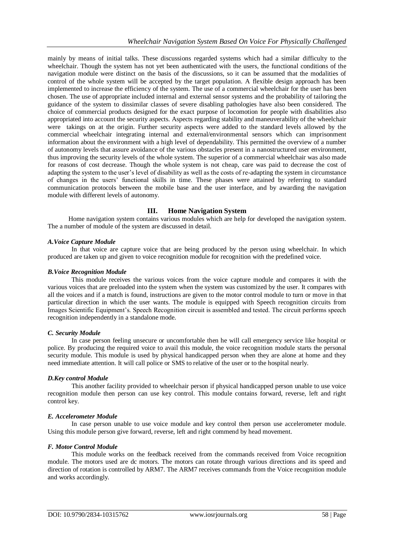mainly by means of initial talks. These discussions regarded systems which had a similar difficulty to the wheelchair. Though the system has not yet been authenticated with the users, the functional conditions of the navigation module were distinct on the basis of the discussions, so it can be assumed that the modalities of control of the whole system will be accepted by the target population. A flexible design approach has been implemented to increase the efficiency of the system. The use of a commercial wheelchair for the user has been chosen. The use of appropriate included internal and external sensor systems and the probability of tailoring the guidance of the system to dissimilar classes of severe disabling pathologies have also been considered. The choice of commercial products designed for the exact purpose of locomotion for people with disabilities also appropriated into account the security aspects. Aspects regarding stability and maneuverability of the wheelchair were takings on at the origin. Further security aspects were added to the standard levels allowed by the commercial wheelchair integrating internal and external/environmental sensors which can imprisonment information about the environment with a high level of dependability. This permitted the overview of a number of autonomy levels that assure avoidance of the various obstacles present in a nanostructured user environment, thus improving the security levels of the whole system. The superior of a commercial wheelchair was also made for reasons of cost decrease. Though the whole system is not cheap, care was paid to decrease the cost of adapting the system to the user"s level of disability as well as the costs of re-adapting the system in circumstance of changes in the users" functional skills in time. These phases were attained by referring to standard communication protocols between the mobile base and the user interface, and by awarding the navigation module with different levels of autonomy.

# **III. Home Navigation System**

Home navigation system contains various modules which are help for developed the navigation system. The a number of module of the system are discussed in detail.

#### *A.Voice Capture Module*

In that voice are capture voice that are being produced by the person using wheelchair. In which produced are taken up and given to voice recognition module for recognition with the predefined voice.

#### *B.Voice Recognition Module*

This module receives the various voices from the voice capture module and compares it with the various voices that are preloaded into the system when the system was customized by the user. It compares with all the voices and if a match is found, instructions are given to the motor control module to turn or move in that particular direction in which the user wants. The module is equipped with Speech recognition circuits from Images Scientific Equipment"s. Speech Recognition circuit is assembled and tested. The circuit performs speech recognition independently in a standalone mode.

#### *C. Security Module*

In case person feeling unsecure or uncomfortable then he will call emergency service like hospital or police. By producing the required voice to avail this module, the voice recognition module starts the personal security module. This module is used by physical handicapped person when they are alone at home and they need immediate attention. It will call police or SMS to relative of the user or to the hospital nearly.

#### *D.Key control Module*

This another facility provided to wheelchair person if physical handicapped person unable to use voice recognition module then person can use key control. This module contains forward, reverse, left and right control key.

## *E. Accelerometer Module*

In case person unable to use voice module and key control then person use accelerometer module. Using this module person give forward, reverse, left and right commend by head movement.

#### *F. Motor Control Module*

This module works on the feedback received from the commands received from Voice recognition module. The motors used are dc motors. The motors can rotate through various directions and its speed and direction of rotation is controlled by ARM7. The ARM7 receives commands from the Voice recognition module and works accordingly*.*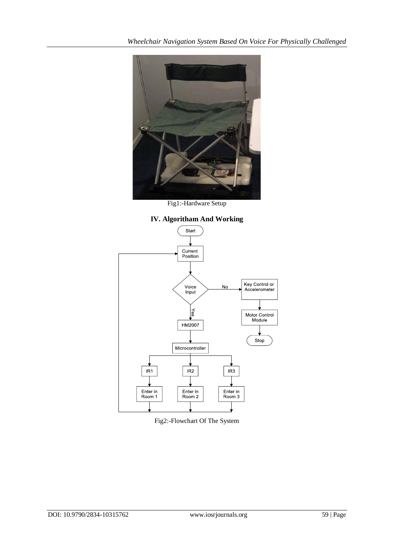

Fig1:-Hardware Setup



Fig2:-Flowchart Of The System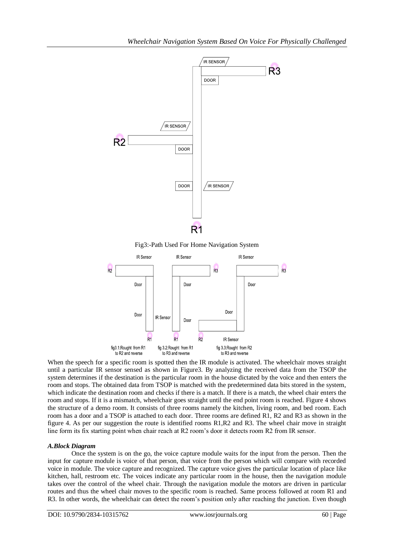

Fig3:-Path Used For Home Navigation System



When the speech for a specific room is spotted then the IR module is activated. The wheelchair moves straight until a particular IR sensor sensed as shown in Figure3. By analyzing the received data from the TSOP the system determines if the destination is the particular room in the house dictated by the voice and then enters the room and stops. The obtained data from TSOP is matched with the predetermined data bits stored in the system, which indicate the destination room and checks if there is a match. If there is a match, the wheel chair enters the room and stops. If it is a mismatch, wheelchair goes straight until the end point room is reached. Figure 4 shows the structure of a demo room. It consists of three rooms namely the kitchen, living room, and bed room. Each room has a door and a TSOP is attached to each door. Three rooms are defined R1, R2 and R3 as shown in the figure 4. As per our suggestion the route is identified rooms R1,R2 and R3. The wheel chair move in straight line form its fix starting point when chair reach at R2 room"s door it detects room R2 from IR sensor.

## *A.Block Diagram*

Once the system is on the go, the voice capture module waits for the input from the person. Then the input for capture module is voice of that person, that voice from the person which will compare with recorded voice in module. The voice capture and recognized. The capture voice gives the particular location of place like kitchen, hall, restroom etc. The voices indicate any particular room in the house, then the navigation module takes over the control of the wheel chair. Through the navigation module the motors are driven in particular routes and thus the wheel chair moves to the specific room is reached. Same process followed at room R1 and R3. In other words, the wheelchair can detect the room"s position only after reaching the junction. Even though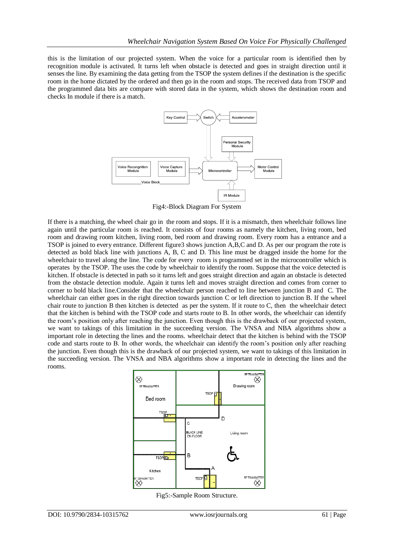this is the limitation of our projected system. When the voice for a particular room is identified then by recognition module is activated. It turns left when obstacle is detected and goes in straight direction until it senses the line. By examining the data getting from the TSOP the system defines if the destination is the specific room in the home dictated by the ordered and then go in the room and stops. The received data from TSOP and the programmed data bits are compare with stored data in the system, which shows the destination room and checks In module if there is a match.



Fig4:-Block Diagram For System

If there is a matching, the wheel chair go in the room and stops. If it is a mismatch, then wheelchair follows line again until the particular room is reached. It consists of four rooms as namely the kitchen, living room, bed room and drawing room kitchen, living room, bed room and drawing room. Every room has a entrance and a TSOP is joined to every entrance. Different figure3 shows junction A,B,C and D. As per our program the rote is detected as bold black line with junctions A, B, C and D. This line must be dragged inside the home for the wheelchair to travel along the line. The code for every room is programmed set in the microcontroller which is operates by the TSOP. The uses the code by wheelchair to identify the room. Suppose that the voice detected is kitchen. If obstacle is detected in path so it turns left and goes straight direction and again an obstacle is detected from the obstacle detection module. Again it turns left and moves straight direction and comes from corner to corner to bold black line.Consider that the wheelchair person reached to line between junction B and C. The wheelchair can either goes in the right direction towards junction C or left direction to junction B. If the wheel chair route to junction B then kitchen is detected as per the system. If it route to C, then the wheelchair detect that the kitchen is behind with the TSOP code and starts route to B. In other words, the wheelchair can identify the room"s position only after reaching the junction. Even though this is the drawback of our projected system, we want to takings of this limitation in the succeeding version. The VNSA and NBA algorithms show a important role in detecting the lines and the rooms. wheelchair detect that the kitchen is behind with the TSOP code and starts route to B. In other words, the wheelchair can identify the room"s position only after reaching the junction. Even though this is the drawback of our projected system, we want to takings of this limitation in the succeeding version. The VNSA and NBA algorithms show a important role in detecting the lines and the rooms.



Fig5:-Sample Room Structure.